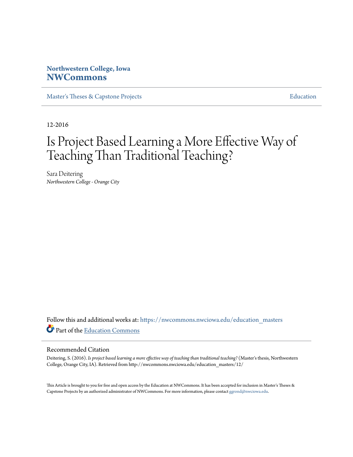# **Northwestern College, Iowa [NWCommons](https://nwcommons.nwciowa.edu?utm_source=nwcommons.nwciowa.edu%2Feducation_masters%2F12&utm_medium=PDF&utm_campaign=PDFCoverPages)**

[Master's Theses & Capstone Projects](https://nwcommons.nwciowa.edu/education_masters?utm_source=nwcommons.nwciowa.edu%2Feducation_masters%2F12&utm_medium=PDF&utm_campaign=PDFCoverPages) [Education](https://nwcommons.nwciowa.edu/education?utm_source=nwcommons.nwciowa.edu%2Feducation_masters%2F12&utm_medium=PDF&utm_campaign=PDFCoverPages)

12-2016

# Is Project Based Learning a More Effective Way of Teaching Than Traditional Teaching?

Sara Deitering *Northwestern College - Orange City*

Follow this and additional works at: [https://nwcommons.nwciowa.edu/education\\_masters](https://nwcommons.nwciowa.edu/education_masters?utm_source=nwcommons.nwciowa.edu%2Feducation_masters%2F12&utm_medium=PDF&utm_campaign=PDFCoverPages) Part of the [Education Commons](http://network.bepress.com/hgg/discipline/784?utm_source=nwcommons.nwciowa.edu%2Feducation_masters%2F12&utm_medium=PDF&utm_campaign=PDFCoverPages)

#### Recommended Citation

Deitering, S. (2016). *Is project based learning a more effective way of teaching than traditional teaching?* (Master's thesis, Northwestern College, Orange City, IA). Retrieved from http://nwcommons.nwciowa.edu/education\_masters/12/

This Article is brought to you for free and open access by the Education at NWCommons. It has been accepted for inclusion in Master's Theses & Capstone Projects by an authorized administrator of NWCommons. For more information, please contact [ggrond@nwciowa.edu.](mailto:ggrond@nwciowa.edu)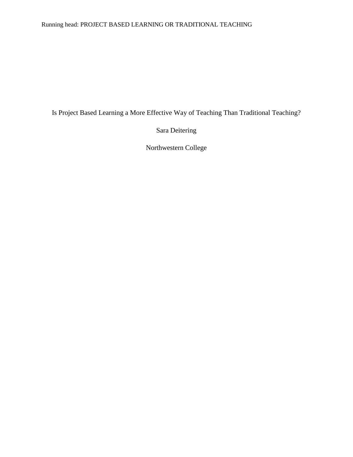### Running head: PROJECT BASED LEARNING OR TRADITIONAL TEACHING

Is Project Based Learning a More Effective Way of Teaching Than Traditional Teaching?

Sara Deitering

Northwestern College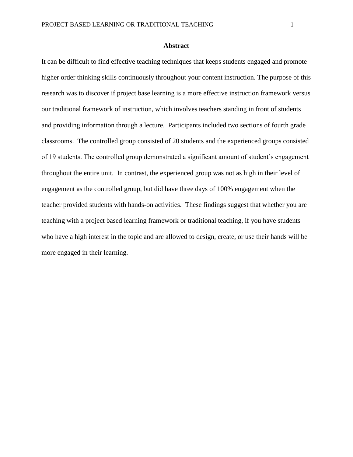#### **Abstract**

It can be difficult to find effective teaching techniques that keeps students engaged and promote higher order thinking skills continuously throughout your content instruction. The purpose of this research was to discover if project base learning is a more effective instruction framework versus our traditional framework of instruction, which involves teachers standing in front of students and providing information through a lecture. Participants included two sections of fourth grade classrooms. The controlled group consisted of 20 students and the experienced groups consisted of 19 students. The controlled group demonstrated a significant amount of student's engagement throughout the entire unit. In contrast, the experienced group was not as high in their level of engagement as the controlled group, but did have three days of 100% engagement when the teacher provided students with hands-on activities. These findings suggest that whether you are teaching with a project based learning framework or traditional teaching, if you have students who have a high interest in the topic and are allowed to design, create, or use their hands will be more engaged in their learning.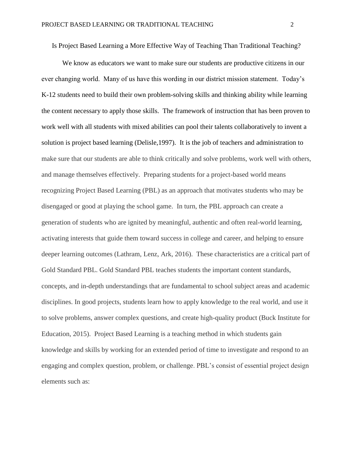Is Project Based Learning a More Effective Way of Teaching Than Traditional Teaching?

We know as educators we want to make sure our students are productive citizens in our ever changing world. Many of us have this wording in our district mission statement. Today's K-12 students need to build their own problem-solving skills and thinking ability while learning the content necessary to apply those skills. The framework of instruction that has been proven to work well with all students with mixed abilities can pool their talents collaboratively to invent a solution is project based learning (Delisle,1997). It is the job of teachers and administration to make sure that our students are able to think critically and solve problems, work well with others, and manage themselves effectively. Preparing students for a project-based world means recognizing Project Based Learning (PBL) as an approach that motivates students who may be disengaged or good at playing the school game. In turn, the PBL approach can create a generation of students who are ignited by meaningful, authentic and often real-world learning, activating interests that guide them toward success in college and career, and helping to ensure deeper learning outcomes (Lathram, Lenz, Ark, 2016). These characteristics are a critical part of Gold Standard PBL. Gold Standard PBL teaches students the important content standards, concepts, and in-depth understandings that are fundamental to school subject areas and academic disciplines. In good projects, students learn how to apply knowledge to the real world, and use it to solve problems, answer complex questions, and create high-quality product (Buck Institute for Education, 2015). Project Based Learning is a teaching method in which students gain knowledge and skills by working for an extended period of time to investigate and respond to an engaging and complex question, problem, or challenge. PBL's consist of essential project design elements such as: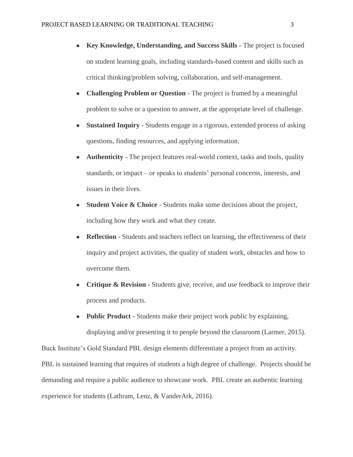- **Key Knowledge, Understanding, and Success Skills**  The project is focused on student learning goals, including standards-based content and skills such as critical thinking/problem solving, collaboration, and self-management.
- **Challenging Problem or Question** The project is framed by a meaningful problem to solve or a question to answer, at the appropriate level of challenge.
- **Sustained Inquiry** Students engage in a rigorous, extended process of asking questions, finding resources, and applying information.
- **Authenticity** The project features real-world context, tasks and tools, quality standards, or impact – or speaks to students' personal concerns, interests, and issues in their lives.
- **Student Voice & Choice** Students make some decisions about the project, including how they work and what they create.
- **Reflection** Students and teachers reflect on learning, the effectiveness of their inquiry and project activities, the quality of student work, obstacles and how to overcome them.
- **Critique & Revision** Students give, receive, and use feedback to improve their process and products.
- **Public Product** Students make their project work public by explaining, displaying and/or presenting it to people beyond the classroom (Larmer, 2015).

Buck Institute's Gold Standard PBL design elements differentiate a project from an activity. PBL is sustained learning that requires of students a high degree of challenge. Projects should be demanding and require a public audience to showcase work. PBL create an authentic learning experience for students (Lathram, Lenz, & VanderArk, 2016).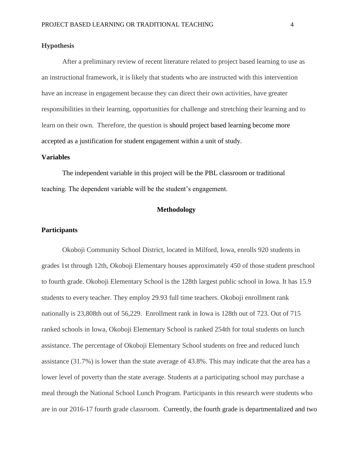#### **Hypothesis**

After a preliminary review of recent literature related to project based learning to use as an instructional framework, it is likely that students who are instructed with this intervention have an increase in engagement because they can direct their own activities, have greater responsibilities in their learning, opportunities for challenge and stretching their learning and to learn on their own. Therefore, the question is should project based learning become more accepted as a justification for student engagement within a unit of study.

#### **Variables**

The independent variable in this project will be the PBL classroom or traditional teaching. The dependent variable will be the student's engagement.

#### **Methodology**

#### **Participants**

Okoboji Community School District, located in Milford, Iowa, enrolls 920 students in grades 1st through 12th, Okoboji Elementary houses approximately 450 of those student preschool to fourth grade. Okoboji Elementary School is the 128th largest public school in Iowa. It has 15.9 students to every teacher. They employ 29.93 full time teachers. Okoboji enrollment rank nationally is 23,808th out of 56,229. Enrollment rank in Iowa is 128th out of 723. Out of 715 ranked schools in Iowa, Okoboji Elementary School is ranked 254th for total students on lunch assistance. The percentage of Okoboji Elementary School students on free and reduced lunch assistance (31.7%) is lower than the state average of 43.8%. This may indicate that the area has a lower level of poverty than the state average. Students at a participating school may purchase a meal through the National School Lunch Program. Participants in this research were students who are in our 2016-17 fourth grade classroom. Currently, the fourth grade is departmentalized and two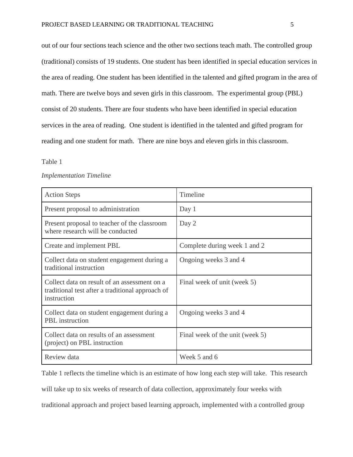out of our four sections teach science and the other two sections teach math. The controlled group (traditional) consists of 19 students. One student has been identified in special education services in the area of reading. One student has been identified in the talented and gifted program in the area of math. There are twelve boys and seven girls in this classroom. The experimental group (PBL) consist of 20 students. There are four students who have been identified in special education services in the area of reading. One student is identified in the talented and gifted program for reading and one student for math. There are nine boys and eleven girls in this classroom.

#### Table 1

#### *Implementation Timeline*

| <b>Action Steps</b>                                                                                             | Timeline                        |
|-----------------------------------------------------------------------------------------------------------------|---------------------------------|
| Present proposal to administration                                                                              | Day 1                           |
| Present proposal to teacher of the classroom<br>where research will be conducted                                | Day 2                           |
| Create and implement PBL                                                                                        | Complete during week 1 and 2    |
| Collect data on student engagement during a<br>traditional instruction                                          | Ongoing weeks 3 and 4           |
| Collect data on result of an assessment on a<br>traditional test after a traditional approach of<br>instruction | Final week of unit (week 5)     |
| Collect data on student engagement during a<br><b>PBL</b> instruction                                           | Ongoing weeks 3 and 4           |
| Collect data on results of an assessment<br>(project) on PBL instruction                                        | Final week of the unit (week 5) |
| Review data                                                                                                     | Week 5 and 6                    |

Table 1 reflects the timeline which is an estimate of how long each step will take. This research

will take up to six weeks of research of data collection, approximately four weeks with

traditional approach and project based learning approach, implemented with a controlled group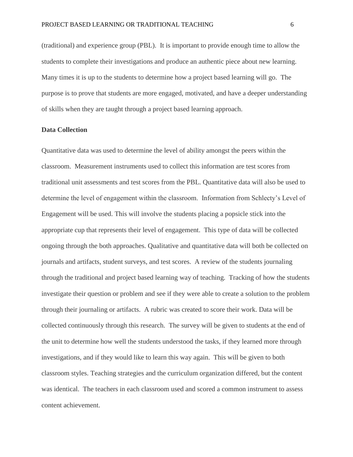(traditional) and experience group (PBL). It is important to provide enough time to allow the students to complete their investigations and produce an authentic piece about new learning. Many times it is up to the students to determine how a project based learning will go. The purpose is to prove that students are more engaged, motivated, and have a deeper understanding of skills when they are taught through a project based learning approach.

#### **Data Collection**

Quantitative data was used to determine the level of ability amongst the peers within the classroom. Measurement instruments used to collect this information are test scores from traditional unit assessments and test scores from the PBL. Quantitative data will also be used to determine the level of engagement within the classroom. Information from Schlecty's Level of Engagement will be used. This will involve the students placing a popsicle stick into the appropriate cup that represents their level of engagement. This type of data will be collected ongoing through the both approaches. Qualitative and quantitative data will both be collected on journals and artifacts, student surveys, and test scores. A review of the students journaling through the traditional and project based learning way of teaching. Tracking of how the students investigate their question or problem and see if they were able to create a solution to the problem through their journaling or artifacts. A rubric was created to score their work. Data will be collected continuously through this research. The survey will be given to students at the end of the unit to determine how well the students understood the tasks, if they learned more through investigations, and if they would like to learn this way again. This will be given to both classroom styles. Teaching strategies and the curriculum organization differed, but the content was identical. The teachers in each classroom used and scored a common instrument to assess content achievement.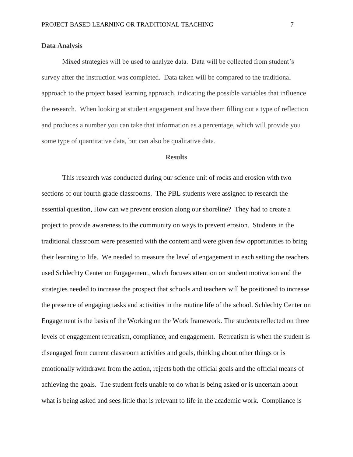#### **Data Analysis**

Mixed strategies will be used to analyze data. Data will be collected from student's survey after the instruction was completed. Data taken will be compared to the traditional approach to the project based learning approach, indicating the possible variables that influence the research. When looking at student engagement and have them filling out a type of reflection and produces a number you can take that information as a percentage, which will provide you some type of quantitative data, but can also be qualitative data.

#### **Results**

This research was conducted during our science unit of rocks and erosion with two sections of our fourth grade classrooms. The PBL students were assigned to research the essential question, How can we prevent erosion along our shoreline? They had to create a project to provide awareness to the community on ways to prevent erosion. Students in the traditional classroom were presented with the content and were given few opportunities to bring their learning to life. We needed to measure the level of engagement in each setting the teachers used Schlechty Center on Engagement, which focuses attention on student motivation and the strategies needed to increase the prospect that schools and teachers will be positioned to increase the presence of engaging tasks and activities in the routine life of the school. Schlechty Center on Engagement is the basis of the Working on the Work framework. The students reflected on three levels of engagement retreatism, compliance, and engagement. Retreatism is when the student is disengaged from current classroom activities and goals, thinking about other things or is emotionally withdrawn from the action, rejects both the official goals and the official means of achieving the goals. The student feels unable to do what is being asked or is uncertain about what is being asked and sees little that is relevant to life in the academic work. Compliance is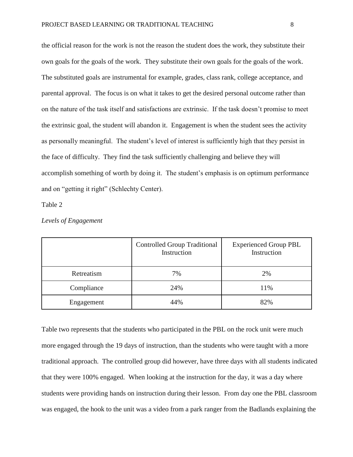the official reason for the work is not the reason the student does the work, they substitute their own goals for the goals of the work. They substitute their own goals for the goals of the work. The substituted goals are instrumental for example, grades, class rank, college acceptance, and parental approval. The focus is on what it takes to get the desired personal outcome rather than on the nature of the task itself and satisfactions are extrinsic. If the task doesn't promise to meet the extrinsic goal, the student will abandon it. Engagement is when the student sees the activity as personally meaningful. The student's level of interest is sufficiently high that they persist in the face of difficulty. They find the task sufficiently challenging and believe they will accomplish something of worth by doing it. The student's emphasis is on optimum performance and on "getting it right" (Schlechty Center).

Table 2

|            | <b>Controlled Group Traditional</b><br>Instruction | <b>Experienced Group PBL</b><br>Instruction |
|------------|----------------------------------------------------|---------------------------------------------|
| Retreatism | 7%                                                 | 2%                                          |
| Compliance | 24%                                                | 11%                                         |
| Engagement | 44%                                                | 82%                                         |

*Levels of Engagement*

Table two represents that the students who participated in the PBL on the rock unit were much more engaged through the 19 days of instruction, than the students who were taught with a more traditional approach. The controlled group did however, have three days with all students indicated that they were 100% engaged. When looking at the instruction for the day, it was a day where students were providing hands on instruction during their lesson. From day one the PBL classroom was engaged, the hook to the unit was a video from a park ranger from the Badlands explaining the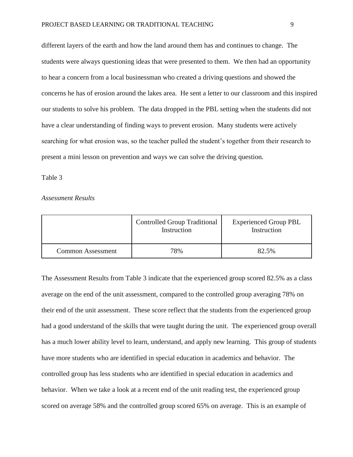different layers of the earth and how the land around them has and continues to change. The students were always questioning ideas that were presented to them. We then had an opportunity to hear a concern from a local businessman who created a driving questions and showed the concerns he has of erosion around the lakes area. He sent a letter to our classroom and this inspired our students to solve his problem. The data dropped in the PBL setting when the students did not have a clear understanding of finding ways to prevent erosion. Many students were actively searching for what erosion was, so the teacher pulled the student's together from their research to present a mini lesson on prevention and ways we can solve the driving question.

#### Table 3

#### *Assessment Results*

|                          | <b>Controlled Group Traditional</b><br>Instruction | <b>Experienced Group PBL</b><br>Instruction |
|--------------------------|----------------------------------------------------|---------------------------------------------|
| <b>Common Assessment</b> | 78%                                                | 82.5%                                       |

The Assessment Results from Table 3 indicate that the experienced group scored 82.5% as a class average on the end of the unit assessment, compared to the controlled group averaging 78% on their end of the unit assessment. These score reflect that the students from the experienced group had a good understand of the skills that were taught during the unit. The experienced group overall has a much lower ability level to learn, understand, and apply new learning. This group of students have more students who are identified in special education in academics and behavior. The controlled group has less students who are identified in special education in academics and behavior. When we take a look at a recent end of the unit reading test, the experienced group scored on average 58% and the controlled group scored 65% on average. This is an example of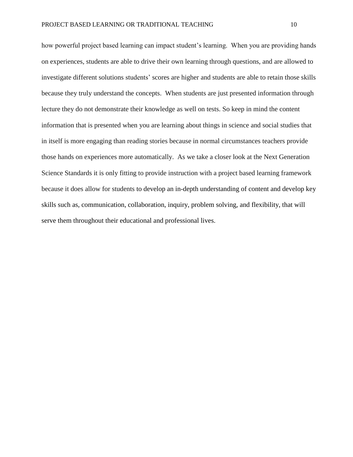how powerful project based learning can impact student's learning. When you are providing hands on experiences, students are able to drive their own learning through questions, and are allowed to investigate different solutions students' scores are higher and students are able to retain those skills because they truly understand the concepts. When students are just presented information through lecture they do not demonstrate their knowledge as well on tests. So keep in mind the content information that is presented when you are learning about things in science and social studies that in itself is more engaging than reading stories because in normal circumstances teachers provide those hands on experiences more automatically. As we take a closer look at the Next Generation Science Standards it is only fitting to provide instruction with a project based learning framework because it does allow for students to develop an in-depth understanding of content and develop key skills such as, communication, collaboration, inquiry, problem solving, and flexibility, that will serve them throughout their educational and professional lives.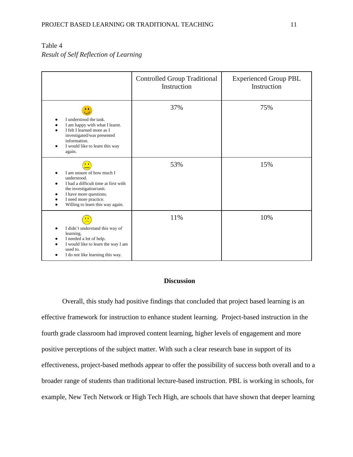# Table 4 *Result of Self Reflection of Learning*

|                                                                                                                                                                                                         | <b>Controlled Group Traditional</b><br>Instruction | <b>Experienced Group PBL</b><br>Instruction |
|---------------------------------------------------------------------------------------------------------------------------------------------------------------------------------------------------------|----------------------------------------------------|---------------------------------------------|
| Μ,<br>I understood the task.<br>I am happy with what I learnt.<br>I felt I learned more as I<br>investigated/was presented<br>information.<br>I would like to learn this way<br>again.                  | 37%                                                | 75%                                         |
| I am unsure of how much I<br>understood.<br>I had a difficult time at first with<br>the investigation/unit.<br>I have more questions.<br>٠<br>I need more practice.<br>Willing to learn this way again. | 53%                                                | 15%                                         |
| I didn't understand this way of<br>learning.<br>I needed a lot of help.<br>I would like to learn the way I am<br>used to.<br>I do not like learning this way.<br>٠                                      | 11%                                                | 10%                                         |

#### **Discussion**

Overall, this study had positive findings that concluded that project based learning is an effective framework for instruction to enhance student learning. Project-based instruction in the fourth grade classroom had improved content learning, higher levels of engagement and more positive perceptions of the subject matter. With such a clear research base in support of its effectiveness, project-based methods appear to offer the possibility of success both overall and to a broader range of students than traditional lecture-based instruction. PBL is working in schools, for example, New Tech Network or High Tech High, are schools that have shown that deeper learning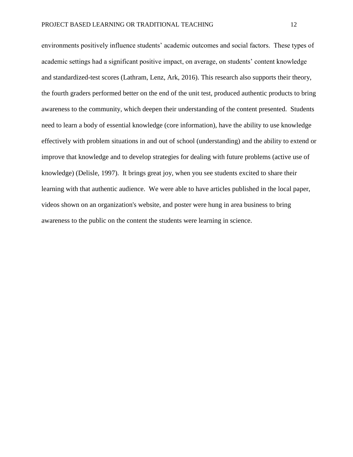environments positively influence students' academic outcomes and social factors. These types of academic settings had a significant positive impact, on average, on students' content knowledge and standardized-test scores (Lathram, Lenz, Ark, 2016). This research also supports their theory, the fourth graders performed better on the end of the unit test, produced authentic products to bring awareness to the community, which deepen their understanding of the content presented. Students need to learn a body of essential knowledge (core information), have the ability to use knowledge effectively with problem situations in and out of school (understanding) and the ability to extend or improve that knowledge and to develop strategies for dealing with future problems (active use of knowledge) (Delisle, 1997). It brings great joy, when you see students excited to share their learning with that authentic audience. We were able to have articles published in the local paper, videos shown on an organization's website, and poster were hung in area business to bring awareness to the public on the content the students were learning in science.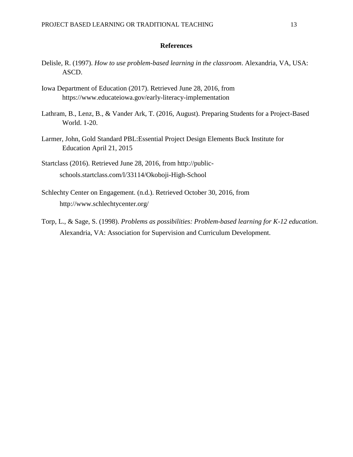#### **References**

- Delisle, R. (1997). *How to use problem-based learning in the classroom*. Alexandria, VA, USA: ASCD.
- Iowa Department of Education (2017). Retrieved June 28, 2016, from https://www.educateiowa.gov/early-literacy-implementation
- Lathram, B., Lenz, B., & Vander Ark, T. (2016, August). Preparing Students for a Project-Based World. 1-20.
- Larmer, John, Gold Standard PBL:Essential Project Design Elements Buck Institute for Education April 21, 2015
- Startclass (2016). Retrieved June 28, 2016, from http://publicschools.startclass.com/l/33114/Okoboji-High-School
- Schlechty Center on Engagement. (n.d.). Retrieved October 30, 2016, from http://www.schlechtycenter.org/
- Torp, L., & Sage, S. (1998). *Problems as possibilities: Problem-based learning for K-12 education*. Alexandria, VA: Association for Supervision and Curriculum Development.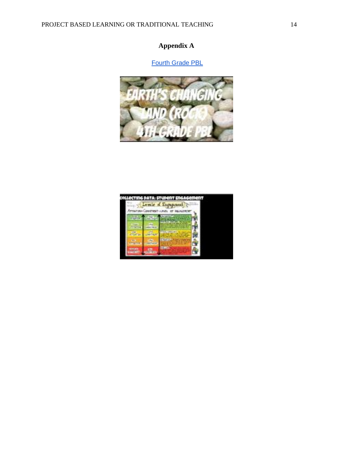# **Appendix A**

# [Fourth Grade PBL](https://docs.google.com/presentation/d/14oe9CAKqXJFkluEZDkma0q3q4w6gj3QrC4NCvt_H8PU/edit#slide=id.g18972166f9_0_12)



|                                     |                             | ILLOCTING PATA: STUDONT ENGAGORI<br>Engagement<br><b>FRECHLINEL OF</b><br><b><i>SIELAGE</i></b> |  |
|-------------------------------------|-----------------------------|-------------------------------------------------------------------------------------------------|--|
| <b>TEAT</b><br><b>But</b><br>199411 | Little"<br><b>If within</b> |                                                                                                 |  |

 $\overline{\phantom{a}}$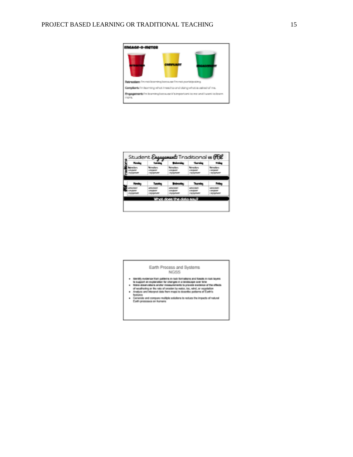

| <b>House</b>                              | <b>Services</b>                            | متقدمتهما                                 | Thursday              | <b>Polan</b>             |
|-------------------------------------------|--------------------------------------------|-------------------------------------------|-----------------------|--------------------------|
| <b>March Barn</b>                         | <b>Reimsdams</b>                           | <b>Releasings</b>                         | <b>Reimsvillens</b>   | <b>Beltrauffgang</b>     |
| <b>CONSUMIT</b>                           | <b><i>LESSARES</i></b>                     | <b>LANSING</b><br>m                       | <b>LANDSCOPE</b><br>m | <b>Light College</b>     |
| <b><i><u>ANGELINE COMMUNISTIE</u></i></b> | <b><i><i><u>Information</u></i></i></b>    | <b><i><i><u>International</u></i></i></b> | 1.5 page 2021         | 1 SOUNDATE:              |
|                                           |                                            |                                           |                       |                          |
| <b>Honda</b>                              | <b>Receive</b>                             | <b>Contractor</b>                         | an an                 | <b>Time</b>              |
| <b><i>PACKAGE</i></b>                     | <b><i>CONTRACTOR</i></b>                   | <b><i>CONTRACTOR</i></b>                  | <b>STATISTICS</b>     | <b><i>CONTRACTOR</i></b> |
| <b>MARGARE</b>                            | <b>STATISTICS</b>                          | <b><i>CONTRACTOR</i></b>                  | <b>LAST AVENUE</b>    | <b>Line program</b>      |
| <b><i><u>SERENCE</u></i></b>              | <b><i><i><u>EXECUTIVE CONT</u></i></i></b> | <b><i>EXEMPTION</i></b>                   | Location and          | <b>Light County</b>      |
|                                           |                                            |                                           |                       |                          |
|                                           |                                            | What does the data said?                  |                       |                          |

Earth Process and Systems NGSS

- 
- 
- 
- 
- $\begin{array}{ll} \bullet\quad & \text{theently revalues from parameter }n\text{ row to parameter }n\text{ and between }n\text{ to }n\text{ and }n\text{ is a given } \text{ is a quadratic for all }n\text{ and }n\text{ is a positive. } \text{or } \text{the product of vector }n\text{ is a function of vector }n\text{ and }n\text{ is a function of vector }n\text{ and }n\text{ is a function of vector }n\text{ and }n\text{ is a function of vector }n\text{ and }n\text{ is a function of vector }n\text{ and }n\text{ is a function of vector }n\text{ and }n\text{ is a function of vector }n\text{ and }n\text{ is a function of vector }n\text{$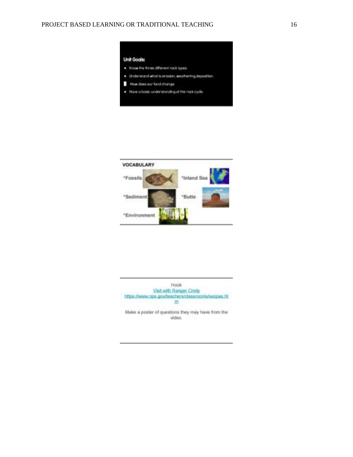



Hook Visit with Ranger Cindy https://www.rps.gov/teachers/classrooms/secosa.ht 血

Make a poster of questions they may have from the video.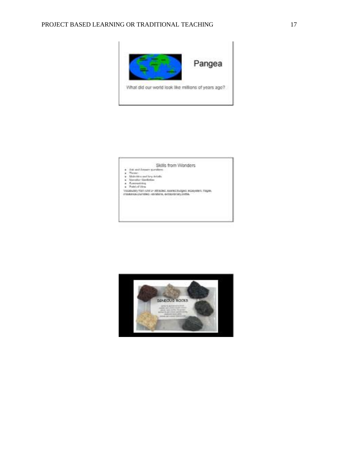



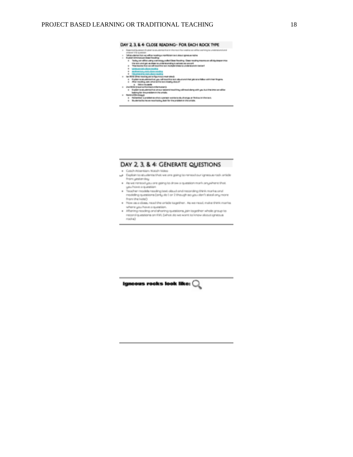#### DAY 2, 3, & 4: CLOSE READING- FOR EACH ROCK TYPE

- sale als
- t.
- $\begin{minipage}[t]{0.03\textwidth} \begin{tabular}{|l|p{0.5em}|} \hline \textbf{0.03em} & \textbf{0.04em} & \textbf{0.04em} & \textbf{0.04em} & \textbf{0.04em} & \textbf{0.04em} & \textbf{0.04em} \\ \textbf{0.04em} & \textbf{0.04em} & \textbf{0.04em} & \textbf{0.04em} & \textbf{0.04em} & \textbf{0.04em} & \textbf{0.04em} \\ \textbf{0.04em} & \textbf{0.04em} & \textbf{0.0$ are with ship designer trives
	-
	-
- 
- 
- 
- $\begin{minipage}[t]{0.03\textwidth} \begin{itemize} {\tt 1.03\textwidth} {\tt 0.03\textwidth} {\tt 0.03\textwidth} {\tt 0.03\textwidth} {\tt 0.03\textwidth} {\tt 0.03\textwidth} {\tt 0.03\textwidth} {\tt 0.03\textwidth} {\tt 0.03\textwidth} {\tt 0.03\textwidth} {\tt 0.03\textwidth} {\tt 0.03\textwidth} {\tt 0.03\textwidth} {\tt 0.03\textwidth} {\tt 0.03\textwidth} {\tt 0.03\textwidth} {\tt 0.03\textwidth} {\tt 0.03\textwidth$ abbay administrating abbigains a transmission and
	-

#### DAY 2, 3, & 4: GENERATE QUESTIONS

- . Catalh-Milanvillan, Walton Walles-
- per Engineer to students that we are going to reneal our igneous nack article from yesterday.
- $\bullet$  . As we nermost you are going to draw a question more anywhere that you have a question
- . Teacher models neating test about and neconting think marks and interface that all provisions (and the state of the system of any more from the locks!)
- . Now on a does, read the article tagether. As we read, make think marks change a system product
- . Aftering reading onatahaning questions, join to gether whole group to neconstripuestions on that, (what do we wont to know about sphesus  ${\it reach}$

Ignoous rocks look like:  $Q$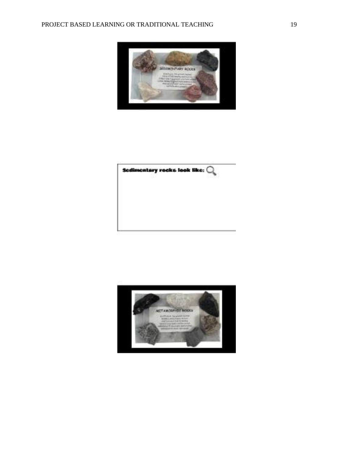



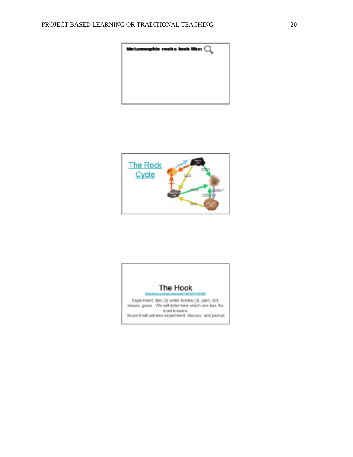



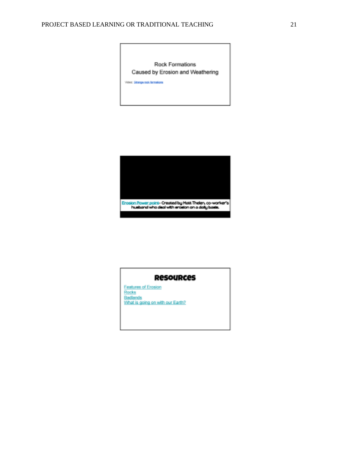Rock Formations Caused by Erosion and Weathering

Video: Strange nodi farmations



### **ResouRces**

Features of Erosion<br>Rocks<br>Badlands What is going on with our Earth?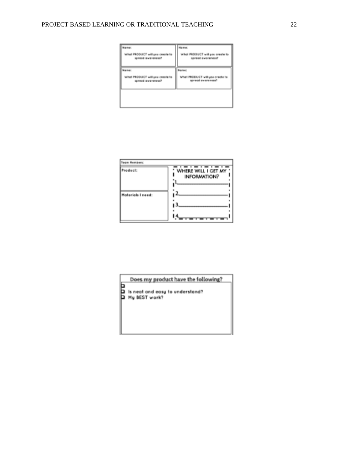### PROJECT BASED LEARNING OR TRADITIONAL TEACHING 22

| <b>Brasilene</b>                                            | Magazine:                                            |
|-------------------------------------------------------------|------------------------------------------------------|
| What PRODUCT will you create for<br>Secretaries incorporate | What PRODUCT will gas preale to<br>spread everyones? |
| Name                                                        | Samuel                                               |
| What PRODUCT will you create to<br>spread awareness?        | What PBDDUCT will you create to<br>spread ownresses? |
|                                                             |                                                      |
|                                                             |                                                      |

| <b>Team Members:</b> |                                                    |
|----------------------|----------------------------------------------------|
| Product:             | WILL I GET MY<br>WHERE<br><b>INFORMATION?</b><br>н |
| Morterials I need:   | œ                                                  |

Does my product have the following?

**Excess my product have the root**<br>**Excess to understand?**<br>**EXCESS TWORK?**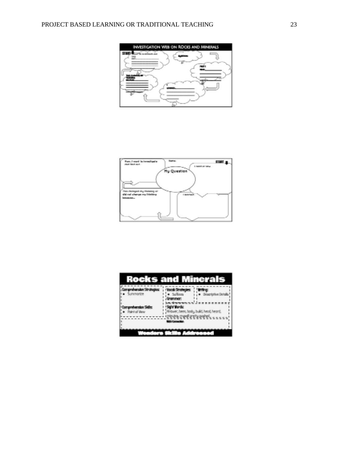



|                      | <b>Rocks and Minerals</b>   |
|----------------------|-----------------------------|
| Summonte             | Besacricitus Deteilly       |
| <b>Point of View</b> | i, hodu, build, head, heard |
|                      |                             |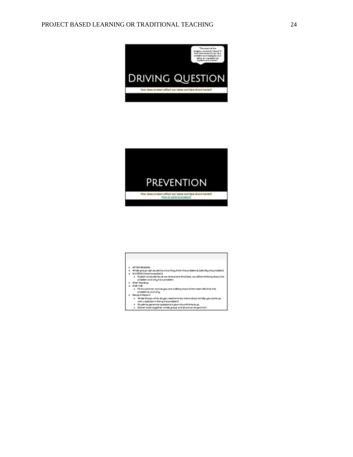



| AFTER BEAUTIFUL                                                                 |
|---------------------------------------------------------------------------------|
| Whole group, ask students what they think the problems (dentity the problem)    |
| a Brd READ Encodito aspirants                                                   |
| a Exploit to students on we reneed one finalisms, we will be thinking about the |
| problem and why t/s a problem.                                                  |
| After finadow.                                                                  |
| a Work Toda                                                                     |
| Final agreement and cargou are walking consumiting room talk what that<br>ш     |
| prosiblemia condultar                                                           |
| 4. Bannell Bernett                                                              |
| e Wright Shoups which docume reset to know more placed to help use comerce      |
| with a solution in flying the problem?                                          |
| Students generate questions in jaunnal until timeracup.                         |
| Galling back to get which are and short on transmission<br>ë                    |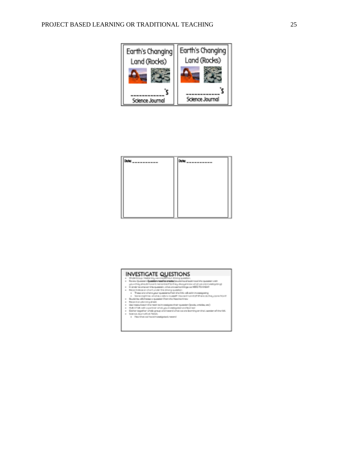

| F<br>m | Date: |
|--------|-------|
|        |       |
|        |       |
|        |       |
|        |       |
|        |       |

### **INVESTIGATE QUESTIONS**

- 
- 
- 
- $\begin{tabular}{l|c|c|c|c|c|c} \hline & \textbf{F} & \textbf{F} & \textbf{F} & \textbf{F} & \textbf{F} & \textbf{F} & \textbf{F} & \textbf{F} & \textbf{F} & \textbf{F} & \textbf{F} & \textbf{F} & \textbf{F} & \textbf{F} & \textbf{F} & \textbf{F} & \textbf{F} & \textbf{F} & \textbf{F} & \textbf{F} \\[0.5em] \hline & \textbf{F} & \textbf{F} & \textbf{F} & \textbf{F} & \textbf{F} & \textbf{F} & \textbf{$
- 
- 
- 
-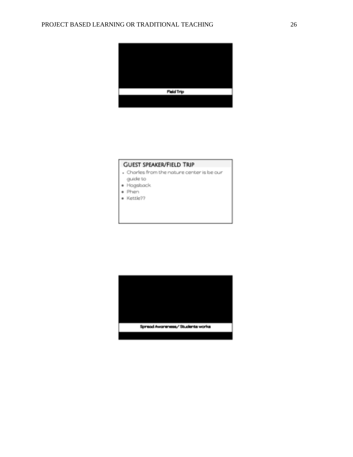

#### **GUEST SPEAKER/FIELD TRIP**

- . Charles from the nature center is be our guide to
- · Hogsback
- + Phen
- · Kettle??

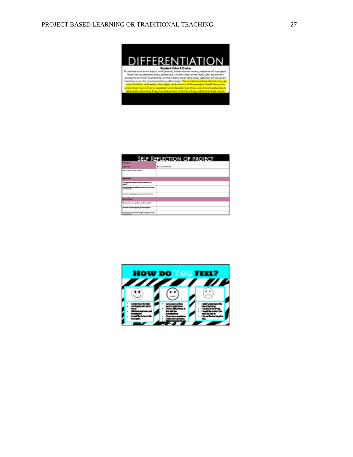

| SELF REFLECTION OF PROJECT                                                              |                                  |  |
|-----------------------------------------------------------------------------------------|----------------------------------|--|
| <b>Britain Book</b>                                                                     |                                  |  |
|                                                                                         | <b>Business and Alliance De-</b> |  |
| <b>Salta color discussion and</b>                                                       |                                  |  |
| _____                                                                                   |                                  |  |
| وتستدعا                                                                                 |                                  |  |
| the term of the condition and the conditions of<br><b><i><u>PERMIT BENEDICT</u></i></b> |                                  |  |
|                                                                                         |                                  |  |
| <b>British Robert</b>                                                                   |                                  |  |
| the continues and continues are the control                                             |                                  |  |
| ___                                                                                     |                                  |  |
| <b><i><u>CONTRACTORS BANKS</u></i></b>                                                  |                                  |  |

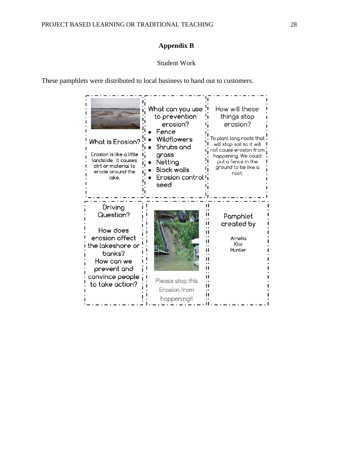# **Appendix B**

# Student Work

These pamphlets were distributed to local business to hand out to customers.

| What is Erosion?<br>Erosion is like a little<br>landslide. It causes<br>dirt or material to<br>erode around the<br>loke.                            | What can you use<br>to prevention<br>erosion?<br>Fence<br><b>Wildflowers</b><br>Shrubs and<br>grass<br>Netting<br><b>Block walls</b><br>Erosion control<br>seed | How will these<br>things stop<br>erosion?<br>To plant long roots that<br>will stop soil so it will<br>not cause erosion from<br>happening. We could<br>put a fence in the<br>ground to be like a<br>root. |
|-----------------------------------------------------------------------------------------------------------------------------------------------------|-----------------------------------------------------------------------------------------------------------------------------------------------------------------|-----------------------------------------------------------------------------------------------------------------------------------------------------------------------------------------------------------|
| Driving<br>Question?<br>How does<br>erosion affect<br>the lakeshore or<br>banks?<br>How can we<br>prevent and<br>convince people<br>to take action? | Please stop this<br>Erosion from<br>happening!!                                                                                                                 | Pamphlet<br>created by<br>Amelio<br>Kloi<br>Hunter                                                                                                                                                        |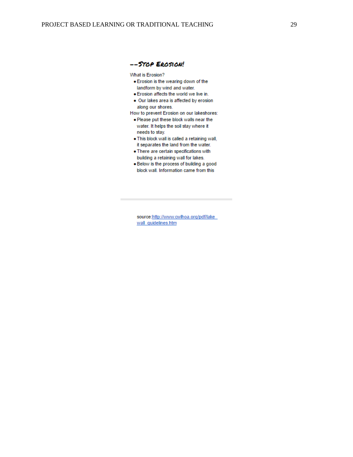#### -- STOP EROSION!

What is Erosion?

- . Erosion is the wearing down of the landform by wind and water.
- . Erosion affects the world we live in.
- . Our lakes area is affected by erosion along our shores.
- How to prevent Erosion on our lakeshores:
- . Please put these block walls near the water. It helps the soil stay where it needs to stay.
- . This block wall is called a retaining wall, it separates the land from the water.
- . There are certain specifications with building a retaining wall for lakes.
- . Below is the process of building a good block wall. Information came from this

source: http://www.cwlhoa.org/pdf/lake wall quidelines.htm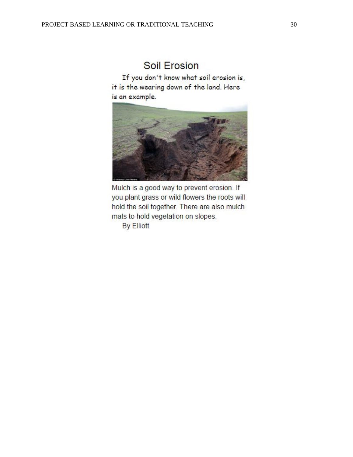# **Soil Erosion**

If you don't know what soil erosion is, it is the wearing down of the land. Here is an example.



Mulch is a good way to prevent erosion. If you plant grass or wild flowers the roots will hold the soil together. There are also mulch mats to hold vegetation on slopes.

**By Elliott**